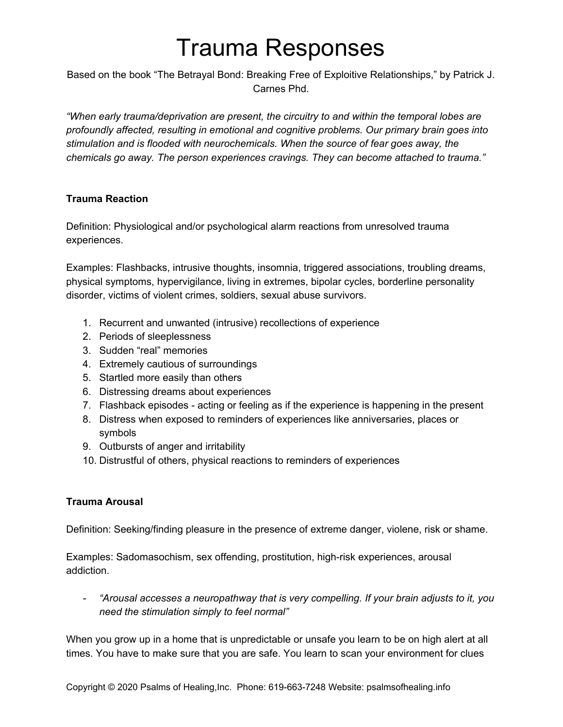# Trauma Responses

Based on the book "The Betrayal Bond: Breaking Free of Exploitive Relationships," by Patrick J. Carnes Phd.

*"When early trauma/deprivation are present, the circuitry to and within the temporal lobes are profoundly affected, resulting in emotional and cognitive problems. Our primary brain goes into stimulation and is flooded with neurochemicals. When the source of fear goes away, the chemicals go away. The person experiences cravings. They can become attached to trauma."*

## **Trauma Reaction**

Definition: Physiological and/or psychological alarm reactions from unresolved trauma experiences.

Examples: Flashbacks, intrusive thoughts, insomnia, triggered associations, troubling dreams, physical symptoms, hypervigilance, living in extremes, bipolar cycles, borderline personality disorder, victims of violent crimes, soldiers, sexual abuse survivors.

- 1. Recurrent and unwanted (intrusive) recollections of experience
- 2. Periods of sleeplessness
- 3. Sudden "real" memories
- 4. Extremely cautious of surroundings
- 5. Startled more easily than others
- 6. Distressing dreams about experiences
- 7. Flashback episodes acting or feeling as if the experience is happening in the present
- 8. Distress when exposed to reminders of experiences like anniversaries, places or symbols
- 9. Outbursts of anger and irritability
- 10. Distrustful of others, physical reactions to reminders of experiences

## **Trauma Arousal**

Definition: Seeking/finding pleasure in the presence of extreme danger, violene, risk or shame.

Examples: Sadomasochism, sex offending, prostitution, high-risk experiences, arousal addiction.

*- "Arousal accesses a neuropathway that is very compelling. If your brain adjusts to it, you need the stimulation simply to feel normal"*

When you grow up in a home that is unpredictable or unsafe you learn to be on high alert at all times. You have to make sure that you are safe. You learn to scan your environment for clues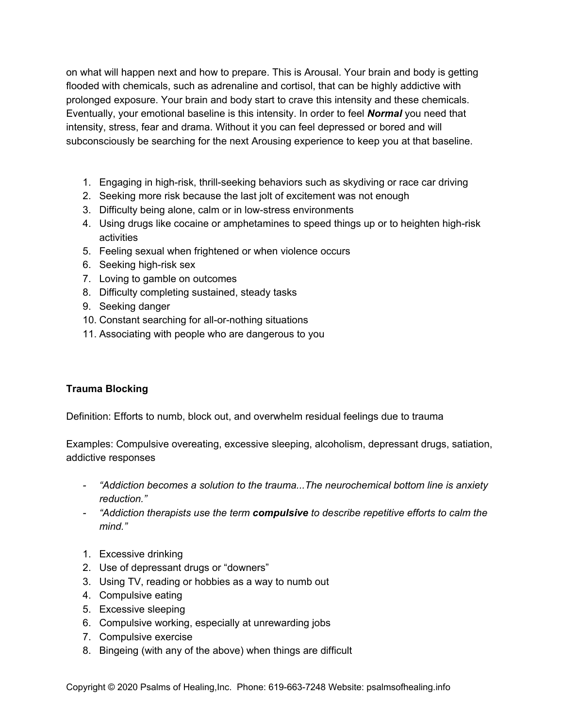on what will happen next and how to prepare. This is Arousal. Your brain and body is getting flooded with chemicals, such as adrenaline and cortisol, that can be highly addictive with prolonged exposure. Your brain and body start to crave this intensity and these chemicals. Eventually, your emotional baseline is this intensity. In order to feel *Normal* you need that intensity, stress, fear and drama. Without it you can feel depressed or bored and will subconsciously be searching for the next Arousing experience to keep you at that baseline.

- 1. Engaging in high-risk, thrill-seeking behaviors such as skydiving or race car driving
- 2. Seeking more risk because the last jolt of excitement was not enough
- 3. Difficulty being alone, calm or in low-stress environments
- 4. Using drugs like cocaine or amphetamines to speed things up or to heighten high-risk activities
- 5. Feeling sexual when frightened or when violence occurs
- 6. Seeking high-risk sex
- 7. Loving to gamble on outcomes
- 8. Difficulty completing sustained, steady tasks
- 9. Seeking danger
- 10. Constant searching for all-or-nothing situations
- 11. Associating with people who are dangerous to you

# **Trauma Blocking**

Definition: Efforts to numb, block out, and overwhelm residual feelings due to trauma

Examples: Compulsive overeating, excessive sleeping, alcoholism, depressant drugs, satiation, addictive responses

- *- "Addiction becomes a solution to the trauma...The neurochemical bottom line is anxiety reduction."*
- *- "Addiction therapists use the term compulsive to describe repetitive efforts to calm the mind."*
- 1. Excessive drinking
- 2. Use of depressant drugs or "downers"
- 3. Using TV, reading or hobbies as a way to numb out
- 4. Compulsive eating
- 5. Excessive sleeping
- 6. Compulsive working, especially at unrewarding jobs
- 7. Compulsive exercise
- 8. Bingeing (with any of the above) when things are difficult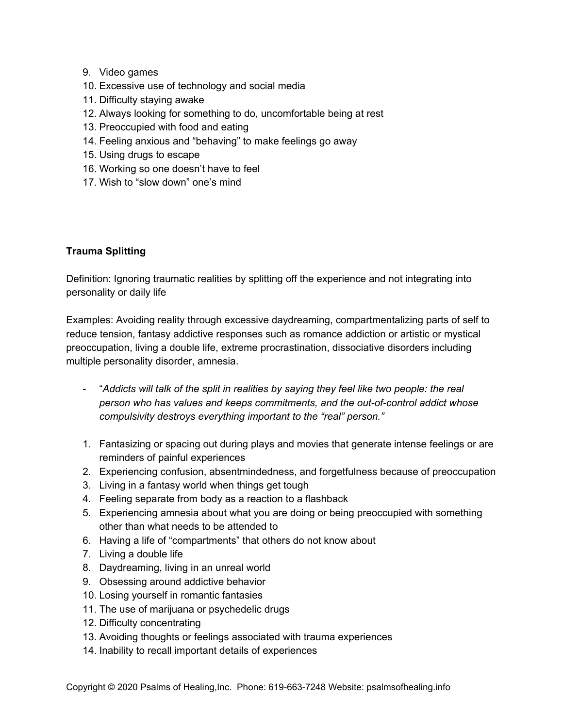- 9. Video games
- 10. Excessive use of technology and social media
- 11. Difficulty staying awake
- 12. Always looking for something to do, uncomfortable being at rest
- 13. Preoccupied with food and eating
- 14. Feeling anxious and "behaving" to make feelings go away
- 15. Using drugs to escape
- 16. Working so one doesn't have to feel
- 17. Wish to "slow down" one's mind

#### **Trauma Splitting**

Definition: Ignoring traumatic realities by splitting off the experience and not integrating into personality or daily life

Examples: Avoiding reality through excessive daydreaming, compartmentalizing parts of self to reduce tension, fantasy addictive responses such as romance addiction or artistic or mystical preoccupation, living a double life, extreme procrastination, dissociative disorders including multiple personality disorder, amnesia.

- "*Addicts will talk of the split in realities by saying they feel like two people: the real person who has values and keeps commitments, and the out-of-control addict whose compulsivity destroys everything important to the "real" person."*
- 1. Fantasizing or spacing out during plays and movies that generate intense feelings or are reminders of painful experiences
- 2. Experiencing confusion, absentmindedness, and forgetfulness because of preoccupation
- 3. Living in a fantasy world when things get tough
- 4. Feeling separate from body as a reaction to a flashback
- 5. Experiencing amnesia about what you are doing or being preoccupied with something other than what needs to be attended to
- 6. Having a life of "compartments" that others do not know about
- 7. Living a double life
- 8. Daydreaming, living in an unreal world
- 9. Obsessing around addictive behavior
- 10. Losing yourself in romantic fantasies
- 11. The use of marijuana or psychedelic drugs
- 12. Difficulty concentrating
- 13. Avoiding thoughts or feelings associated with trauma experiences
- 14. Inability to recall important details of experiences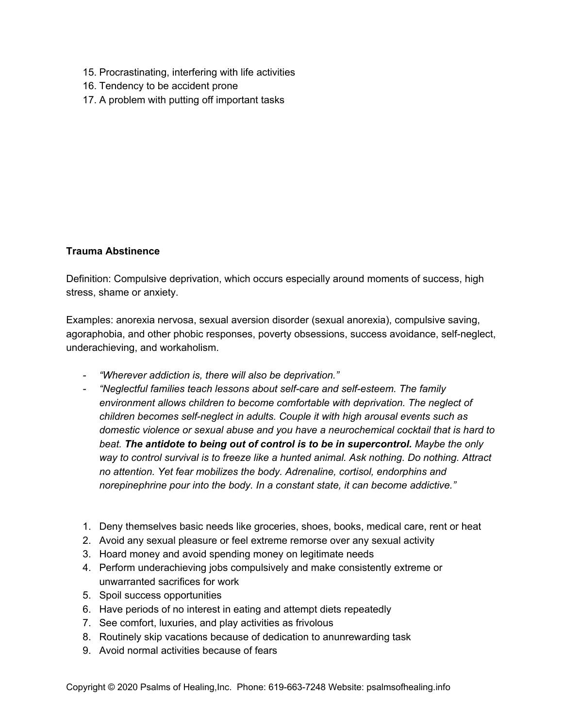- 15. Procrastinating, interfering with life activities
- 16. Tendency to be accident prone
- 17. A problem with putting off important tasks

#### **Trauma Abstinence**

Definition: Compulsive deprivation, which occurs especially around moments of success, high stress, shame or anxiety.

Examples: anorexia nervosa, sexual aversion disorder (sexual anorexia), compulsive saving, agoraphobia, and other phobic responses, poverty obsessions, success avoidance, self-neglect, underachieving, and workaholism.

- *- "Wherever addiction is, there will also be deprivation."*
- *- "Neglectful families teach lessons about self-care and self-esteem. The family environment allows children to become comfortable with deprivation. The neglect of children becomes self-neglect in adults. Couple it with high arousal events such as domestic violence or sexual abuse and you have a neurochemical cocktail that is hard to beat. The antidote to being out of control is to be in supercontrol. Maybe the only way to control survival is to freeze like a hunted animal. Ask nothing. Do nothing. Attract no attention. Yet fear mobilizes the body. Adrenaline, cortisol, endorphins and norepinephrine pour into the body. In a constant state, it can become addictive."*
- 1. Deny themselves basic needs like groceries, shoes, books, medical care, rent or heat
- 2. Avoid any sexual pleasure or feel extreme remorse over any sexual activity
- 3. Hoard money and avoid spending money on legitimate needs
- 4. Perform underachieving jobs compulsively and make consistently extreme or unwarranted sacrifices for work
- 5. Spoil success opportunities
- 6. Have periods of no interest in eating and attempt diets repeatedly
- 7. See comfort, luxuries, and play activities as frivolous
- 8. Routinely skip vacations because of dedication to anunrewarding task
- 9. Avoid normal activities because of fears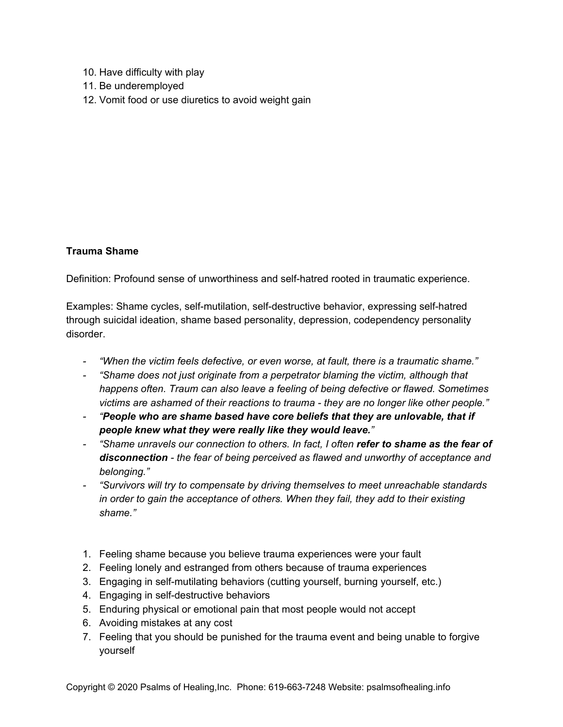- 10. Have difficulty with play
- 11. Be underemployed
- 12. Vomit food or use diuretics to avoid weight gain

#### **Trauma Shame**

Definition: Profound sense of unworthiness and self-hatred rooted in traumatic experience.

Examples: Shame cycles, self-mutilation, self-destructive behavior, expressing self-hatred through suicidal ideation, shame based personality, depression, codependency personality disorder.

- *- "When the victim feels defective, or even worse, at fault, there is a traumatic shame."*
- *- "Shame does not just originate from a perpetrator blaming the victim, although that happens often. Traum can also leave a feeling of being defective or flawed. Sometimes victims are ashamed of their reactions to trauma - they are no longer like other people."*
- *- "People who are shame based have core beliefs that they are unlovable, that if people knew what they were really like they would leave."*
- *- "Shame unravels our connection to others. In fact, I often refer to shame as the fear of disconnection - the fear of being perceived as flawed and unworthy of acceptance and belonging."*
- *- "Survivors will try to compensate by driving themselves to meet unreachable standards in order to gain the acceptance of others. When they fail, they add to their existing shame."*
- 1. Feeling shame because you believe trauma experiences were your fault
- 2. Feeling lonely and estranged from others because of trauma experiences
- 3. Engaging in self-mutilating behaviors (cutting yourself, burning yourself, etc.)
- 4. Engaging in self-destructive behaviors
- 5. Enduring physical or emotional pain that most people would not accept
- 6. Avoiding mistakes at any cost
- 7. Feeling that you should be punished for the trauma event and being unable to forgive yourself